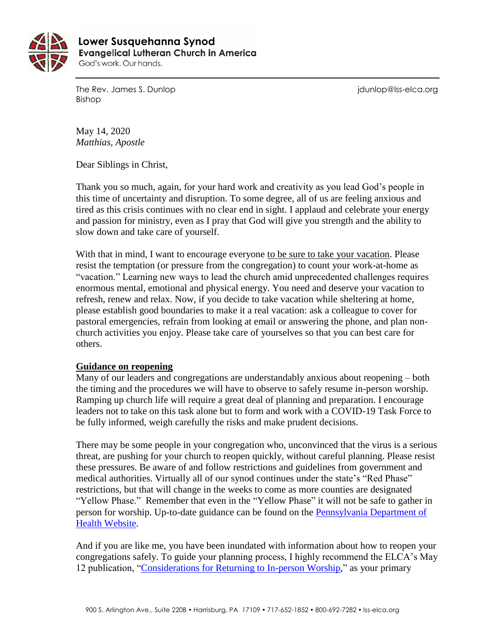

 **Lower Susquehanna SynodEvangelical Lutheran Church in America** God's work. Our hands.

The Rev. James S. Dunlop journalism is a state of the Rev. James S. Dunlop is a state of the Rev. James S. Dunlop Bishop

May 14, 2020 *Matthias, Apostle*

Dear Siblings in Christ,

Thank you so much, again, for your hard work and creativity as you lead God's people in this time of uncertainty and disruption. To some degree, all of us are feeling anxious and tired as this crisis continues with no clear end in sight. I applaud and celebrate your energy and passion for ministry, even as I pray that God will give you strength and the ability to slow down and take care of yourself.

With that in mind, I want to encourage everyone to be sure to take your vacation. Please resist the temptation (or pressure from the congregation) to count your work-at-home as "vacation." Learning new ways to lead the church amid unprecedented challenges requires enormous mental, emotional and physical energy. You need and deserve your vacation to refresh, renew and relax. Now, if you decide to take vacation while sheltering at home, please establish good boundaries to make it a real vacation: ask a colleague to cover for pastoral emergencies, refrain from looking at email or answering the phone, and plan nonchurch activities you enjoy. Please take care of yourselves so that you can best care for others.

## **Guidance on reopening**

Many of our leaders and congregations are understandably anxious about reopening – both the timing and the procedures we will have to observe to safely resume in-person worship. Ramping up church life will require a great deal of planning and preparation. I encourage leaders not to take on this task alone but to form and work with a COVID-19 Task Force to be fully informed, weigh carefully the risks and make prudent decisions.

There may be some people in your congregation who, unconvinced that the virus is a serious threat, are pushing for your church to reopen quickly, without careful planning. Please resist these pressures. Be aware of and follow restrictions and guidelines from government and medical authorities. Virtually all of our synod continues under the state's "Red Phase" restrictions, but that will change in the weeks to come as more counties are designated "Yellow Phase." Remember that even in the "Yellow Phase" it will not be safe to gather in person for worship. Up-to-date guidance can be found on the [Pennsylvania Department of](https://www.health.pa.gov/topics/disease/coronavirus/Pages/Coronavirus.aspx)  [Health Website.](https://www.health.pa.gov/topics/disease/coronavirus/Pages/Coronavirus.aspx)

And if you are like me, you have been inundated with information about how to reopen your congregations safely. To guide your planning process, I highly recommend the ELCA's May 12 publication, ["Considerations for Returning to In-person Worship,](https://download.elca.org/ELCA%20Resource%20Repository/returning-to%20In-person-worship.pdf)" as your primary